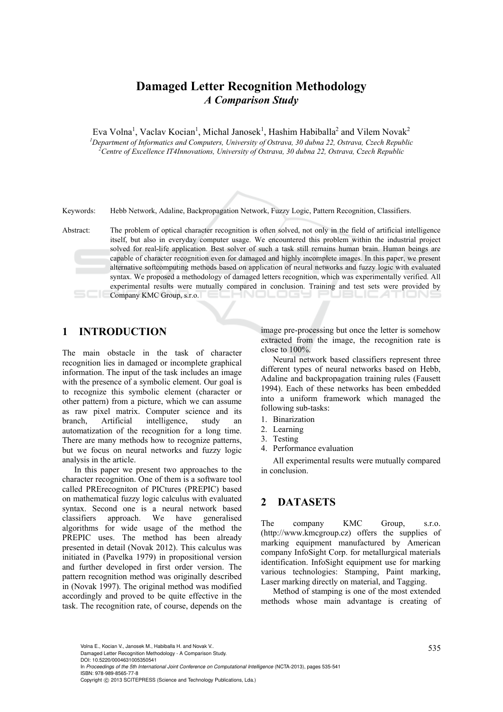# **Damaged Letter Recognition Methodology**  *A Comparison Study*

Eva Volna<sup>1</sup>, Vaclav Kocian<sup>1</sup>, Michal Janosek<sup>1</sup>, Hashim Habiballa<sup>2</sup> and Vilem Novak<sup>2</sup> *1 Department of Informatics and Computers, University of Ostrava, 30 dubna 22, Ostrava, Czech Republic 2 Centre of Excellence IT4Innovations, University of Ostrava, 30 dubna 22, Ostrava, Czech Republic* 

Keywords: Hebb Network, Adaline, Backpropagation Network, Fuzzy Logic, Pattern Recognition, Classifiers.

Abstract: The problem of optical character recognition is often solved, not only in the field of artificial intelligence itself, but also in everyday computer usage. We encountered this problem within the industrial project solved for real-life application. Best solver of such a task still remains human brain. Human beings are capable of character recognition even for damaged and highly incomplete images. In this paper, we present alternative softcomputing methods based on application of neural networks and fuzzy logic with evaluated syntax. We proposed a methodology of damaged letters recognition, which was experimentally verified. All experimental results were mutually compared in conclusion. Training and test sets were provided by Company KMC Group, s.r.o. 

# **1 INTRODUCTION**

The main obstacle in the task of character recognition lies in damaged or incomplete graphical information. The input of the task includes an image with the presence of a symbolic element. Our goal is to recognize this symbolic element (character or other pattern) from a picture, which we can assume as raw pixel matrix. Computer science and its branch, Artificial intelligence, study an automatization of the recognition for a long time. There are many methods how to recognize patterns, but we focus on neural networks and fuzzy logic analysis in the article.

In this paper we present two approaches to the character recognition. One of them is a software tool called PRErecogniton of PICtures (PREPIC) based on mathematical fuzzy logic calculus with evaluated syntax. Second one is a neural network based classifiers approach. We have generalised algorithms for wide usage of the method the PREPIC uses. The method has been already presented in detail (Novak 2012). This calculus was initiated in (Pavelka 1979) in propositional version and further developed in first order version. The pattern recognition method was originally described in (Novak 1997). The original method was modified accordingly and proved to be quite effective in the task. The recognition rate, of course, depends on the

image pre-processing but once the letter is somehow extracted from the image, the recognition rate is close to 100%.

Neural network based classifiers represent three different types of neural networks based on Hebb, Adaline and backpropagation training rules (Fausett 1994). Each of these networks has been embedded into a uniform framework which managed the following sub-tasks:

- 1. Binarization
- 2. Learning
- 3. Testing
- 4. Performance evaluation

All experimental results were mutually compared in conclusion.

### **2 DATASETS**

The company KMC Group, s.r.o. (http://www.kmcgroup.cz) offers the supplies of marking equipment manufactured by American company InfoSight Corp. for metallurgical materials identification. InfoSight equipment use for marking various technologies: Stamping, Paint marking, Laser marking directly on material, and Tagging.

Method of stamping is one of the most extended methods whose main advantage is creating of

Volna E., Kocian V., Janosek M., Habiballa H. and Novak V..<br>Damaged Letter Recognition Methodology - A Comparison Study.

DOI: 10.5220/0004631005350541

In *Proceedings of the 5th International Joint Conference on Computational Intelligence* (NCTA-2013), pages 535-541 ISBN: 978-989-8565-77-8

Copyright © 2013 SCITEPRESS (Science and Technology Publications, Lda.)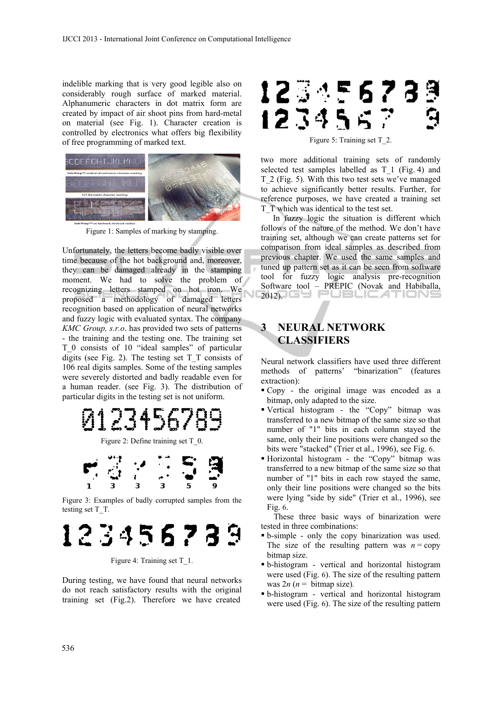indelible marking that is very good legible also on considerably rough surface of marked material. Alphanumeric characters in dot matrix form are created by impact of air shoot pins from hard-metal on material (see Fig. 1). Character creation is controlled by electronics what offers big flexibility of free programming of marked text.



Figure 1: Samples of marking by stamping.

Unfortunately, the letters become badly visible over time because of the hot background and, moreover, they can be damaged already in the stamping moment. We had to solve the problem of recognizing letters stamped on hot iron. We proposed a methodology of damaged letters recognition based on application of neural networks and fuzzy logic with evaluated syntax. The company *KMC Group, s.r.o*. has provided two sets of patterns - the training and the testing one. The training set T\_0 consists of 10 "ideal samples" of particular digits (see Fig. 2). The testing set  $T$   $T$  consists of 106 real digits samples. Some of the testing samples were severely distorted and badly readable even for a human reader. (see Fig. 3). The distribution of particular digits in the testing set is not uniform.

# 12345678

Figure 2: Define training set T\_0.



Figure 3: Examples of badly corrupted samples from the testing set T\_T.

# 123456789

Figure 4: Training set T\_1.

During testing, we have found that neural networks do not reach satisfactory results with the original training set (Fig.2). Therefore we have created

# 12345673 123456

Figure 5: Training set T\_2.

two more additional training sets of randomly selected test samples labelled as T\_1 (Fig. 4) and T\_2 (Fig. 5). With this two test sets we've managed to achieve significantly better results. Further, for reference purposes, we have created a training set T\_T which was identical to the test set.

In fuzzy logic the situation is different which follows of the nature of the method. We don't have training set, although we can create patterns set for comparison from ideal samples as described from previous chapter. We used the same samples and tuned up pattern set as it can be seen from software tool for fuzzy logic analysis pre-recognition Software tool – PREPIC (Novak and Habiballa, 2012).

# **3 NEURAL NETWORK CLASSIFIERS**

Neural network classifiers have used three different methods of patterns' "binarization" (features extraction):

- Copy the original image was encoded as a bitmap, only adapted to the size.
- Vertical histogram the "Copy" bitmap was transferred to a new bitmap of the same size so that number of "1" bits in each column stayed the same, only their line positions were changed so the bits were "stacked" (Trier et al., 1996), see Fig. 6.
- Horizontal histogram the "Copy" bitmap was transferred to a new bitmap of the same size so that number of "1" bits in each row stayed the same, only their line positions were changed so the bits were lying "side by side" (Trier et al., 1996), see Fig. 6.

These three basic ways of binarization were tested in three combinations:

- b-simple only the copy binarization was used. The size of the resulting pattern was  $n = \text{copy}$ bitmap size.
- b-histogram vertical and horizontal histogram were used (Fig. 6). The size of the resulting pattern was  $2n (n = \text{bitmap size})$ .
- b-histogram vertical and horizontal histogram were used (Fig. 6). The size of the resulting pattern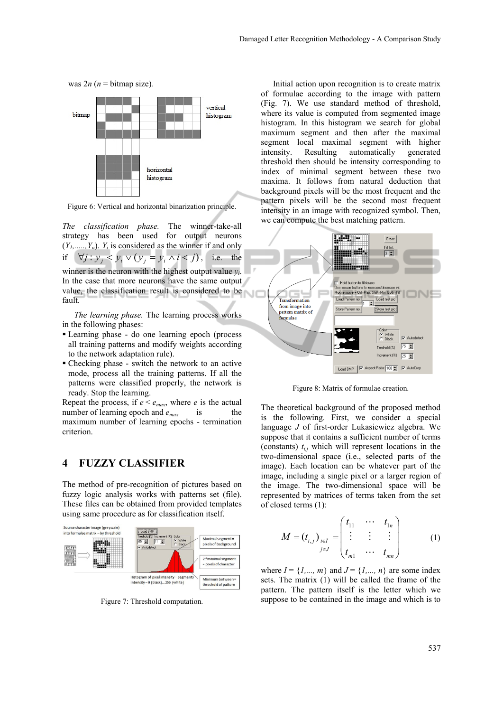

Figure 6: Vertical and horizontal binarization principle.

*The classification phase.* The winner-take-all strategy has been used for output neurons  $(Y_1, \ldots, Y_n)$ .  $Y_i$  is considered as the winner if and only if  $\forall j : y_j < y_i \lor (y_j = y_i \land i < j)$ , i.e. the winner is the neuron with the highest output value *yi*. In the case that more neurons have the same output value, the classification result is considered to be fault.

*The learning phase.* The learning process works in the following phases:

- Learning phase do one learning epoch (process all training patterns and modify weights according to the network adaptation rule).
- Checking phase switch the network to an active mode, process all the training patterns. If all the patterns were classified properly, the network is ready. Stop the learning.

Repeat the process, if  $e < e_{max}$ , where *e* is the actual number of learning epoch and  $e_{max}$  is the maximum number of learning epochs - termination criterion.

#### **4 FUZZY CLASSIFIER**

The method of pre-recognition of pictures based on fuzzy logic analysis works with patterns set (file). These files can be obtained from provided templates using same procedure as for classification itself.



Figure 7: Threshold computation.

Initial action upon recognition is to create matrix of formulae according to the image with pattern (Fig. 7). We use standard method of threshold, where its value is computed from segmented image histogram. In this histogram we search for global maximum segment and then after the maximal segment local maximal segment with higher intensity. Resulting automatically generated threshold then should be intensity corresponding to index of minimal segment between these two maxima. It follows from natural deduction that background pixels will be the most frequent and the pattern pixels will be the second most frequent intensity in an image with recognized symbol. Then, we can compute the best matching pattern.



Figure 8: Matrix of formulae creation.

The theoretical background of the proposed method is the following. First, we consider a special language *J* of first-order Lukasiewicz algebra. We suppose that it contains a sufficient number of terms (constants)  $t_{i,j}$  which will represent locations in the two-dimensional space (i.e., selected parts of the image). Each location can be whatever part of the image, including a single pixel or a larger region of the image. The two-dimensional space will be represented by matrices of terms taken from the set of closed terms (1):

$$
M = (t_{i,j})_{i \in I} = \begin{pmatrix} t_{11} & \cdots & t_{1n} \\ \vdots & \vdots & \vdots \\ t_{m1} & \cdots & t_{mn} \end{pmatrix}
$$
 (1)

where  $I = \{I, ..., m\}$  and  $J = \{I, ..., n\}$  are some index sets. The matrix (1) will be called the frame of the pattern. The pattern itself is the letter which we suppose to be contained in the image and which is to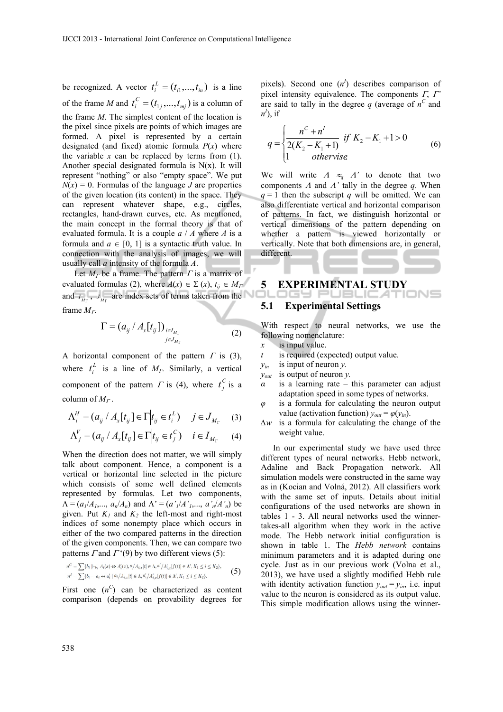be recognized. A vector  $t_i^L = (t_{i1},..., t_{in})$  is a line of the frame *M* and  $t_i^C = (t_{1j},..., t_{mj})$  is a column of the frame *M*. The simplest content of the location is the pixel since pixels are points of which images are formed. A pixel is represented by a certain designated (and fixed) atomic formula *P*(*x*) where the variable  $x$  can be replaced by terms from  $(1)$ . Another special designated formula is  $N(x)$ . It will represent "nothing" or also "empty space". We put  $N(x) = 0$ . Formulas of the language *J* are properties of the given location (its content) in the space. They can represent whatever shape, e.g., circles, rectangles, hand-drawn curves, etc. As mentioned, the main concept in the formal theory is that of evaluated formula. It is a couple *a* / *A* where *A* is a formula and  $a \in [0, 1]$  is a syntactic truth value. In connection with the analysis of images, we will usually call *a* intensity of the formula *A*.

Let  $M_T$  be a frame. The pattern  $\Gamma$  is a matrix of evaluated formulas (2), where  $A(x) \in \Sigma(x)$ ,  $t_{ij} \in M_{\Gamma}$ and  $I_{M_{\text{B}}}$ ,  $J_{M_{\text{B}}}$  are index sets of terms taken from the frame *M*.

$$
\Gamma = (a_{ij} / A_x[t_{ij}])_{\substack{i \in I_{M_{\Gamma}} \\ j \in J_{M_{\Gamma}}}} \tag{2}
$$

A horizontal component of the pattern  $\Gamma$  is (3), where  $t_i^L$  is a line of  $M_r$ . Similarly, a vertical component of the pattern  $\Gamma$  is (4), where  $t_j^C$  is a column of  $M_r$ .

$$
\Lambda_i^H = (a_{ij} / A_x[t_{ij}] \in \Gamma \Big| t_{ij} \in t_i^L) \quad j \in J_{M_\Gamma} \quad (3)
$$

$$
\Lambda_j^V = (a_{ij} / A_x[t_{ij}] \in \Gamma \mid t_{ij} \in t_j^C) \quad i \in I_{M_\Gamma} \tag{4}
$$

When the direction does not matter, we will simply talk about component. Hence, a component is a vertical or horizontal line selected in the picture which consists of some well defined elements represented by formulas. Let two components,  $\Lambda = (a_1/A_1,..., a_n/A_n)$  and  $\Lambda' = (a'_1/A'_1,..., a'_n/A'_n)$  be given. Put  $K_1$  and  $K_2$  the left-most and right-most indices of some nonempty place which occurs in either of the two compared patterns in the direction of the given components. Then, we can compare two patterns  $\Gamma$  and  $\Gamma$  '(9) by two different views (5):

$$
n^{C} = \sum \{b_{i} \mid \vdash_{b_{i}} A_{i}(x) \Leftrightarrow A'_{i}(x), a' / A_{i,x}[t] \in \Lambda, a' / A'_{i,x}[f(t)] \in \Lambda', K_{1} \le i \le K_{2}\},
$$
  
\n
$$
n^{I} = \sum \{b_{i} = a_{i} \leftrightarrow a'_{i} \mid a_{i} / A_{i,x}[t] \in \Lambda, a'_{i} / A'_{i,x}[f(t)] \in \Lambda', K_{1} \le i \le K_{2}\}.
$$
 (5)

First one  $(n^C)$  can be characterized as content comparison (depends on provability degrees for

pixels). Second one  $(n^1)$  describes comparison of pixel intensity equivalence. The components  $\Gamma$ ,  $\Gamma$ <sup>\*</sup> are said to tally in the degree  $q$  (average of  $n^C$  and  $n^I$ , if

$$
q = \begin{cases} \frac{n^C + n^I}{2(K_2 - K_1 + 1)} & \text{if } K_2 - K_1 + 1 > 0\\ 1 & \text{otherwise} \end{cases}
$$
 (6)

We will write  $A \approx_q A'$  to denote that two components  $\Lambda$  and  $\Lambda'$  tally in the degree  $q$ . When  $q = 1$  then the subscript *q* will be omitted. We can also differentiate vertical and horizontal comparison of patterns. In fact, we distinguish horizontal or vertical dimensions of the pattern depending on whether a pattern is viewed horizontally or vertically. Note that both dimensions are, in general, different.

# **5 EXPERIMENTAL STUDY**

#### **5.1 Experimental Settings**

With respect to neural networks, we use the following nomenclature:

- *x* is input value.
- *t* is required (expected) output value.
- $y_{in}$  is input of neuron *y*.
- *yout* is output of neuron *y.*
- $\alpha$  is a learning rate this parameter can adjust adaptation speed in some types of networks.
- *φ* is a formula for calculating the neuron output value (activation function)  $y_{out} = \varphi(y_{in})$ .
- *∆w* is a formula for calculating the change of the weight value.

In our experimental study we have used three different types of neural networks. Hebb network, Adaline and Back Propagation network. All simulation models were constructed in the same way as in (Kocian and Volná, 2012). All classifiers work with the same set of inputs. Details about initial configurations of the used networks are shown in tables 1 - 3. All neural networks used the winnertakes-all algorithm when they work in the active mode. The Hebb network initial configuration is shown in table 1. The *Hebb network* contains minimum parameters and it is adapted during one cycle. Just as in our previous work (Volna et al., 2013), we have used a slightly modified Hebb rule with identity activation function  $y_{out} = y_{in}$ , i.e. input value to the neuron is considered as its output value. This simple modification allows using the winner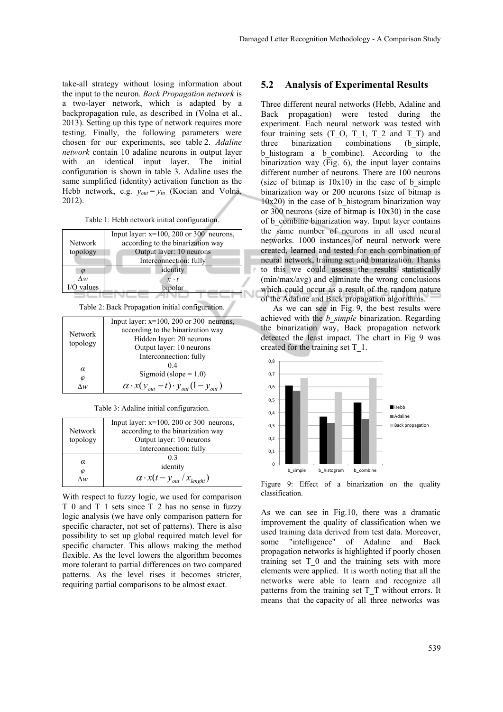take-all strategy without losing information about the input to the neuron. *Back Propagation network* is a two-layer network, which is adapted by a backpropagation rule, as described in (Volna et al., 2013). Setting up this type of network requires more testing. Finally, the following parameters were chosen for our experiments, see table 2. *Adaline network* contain 10 adaline neurons in output layer with an identical input layer. The initial configuration is shown in table 3. Adaline uses the same simplified (identity) activation function as the Hebb network, e.g. *yout* = *yin* (Kocian and Volná, 2012).

Table 1: Hebb network initial configuration.



Table 2: Back Propagation initial configuration.

| <b>Network</b><br>topology | Input layer: $x=100$ , 200 or 300 neurons,             |
|----------------------------|--------------------------------------------------------|
|                            | according to the binarization way                      |
|                            | Hidden layer: 20 neurons                               |
|                            | Output layer: 10 neurons                               |
|                            | Interconnection: fully                                 |
| α<br>φ                     | 04                                                     |
|                            | Sigmoid (slope = $1.0$ )                               |
|                            | $\alpha$ · $x(y_{out} - t) \cdot y_{out}(1 - y_{out})$ |

|                | Input layer: $x=100$ , 200 or 300 neurons, |
|----------------|--------------------------------------------|
| <b>Network</b> | according to the binarization way          |
| topology       | Output layer: 10 neurons                   |
|                | Interconnection: fully                     |
| α              | 03                                         |
|                | identity                                   |
| φ<br>Лм,       | $\alpha \cdot x(t - y_{out} / x_{length})$ |

With respect to fuzzy logic, we used for comparison T\_0 and T\_1 sets since T\_2 has no sense in fuzzy logic analysis (we have only comparison pattern for specific character, not set of patterns). There is also possibility to set up global required match level for specific character. This allows making the method flexible. As the level lowers the algorithm becomes more tolerant to partial differences on two compared patterns. As the level rises it becomes stricter, requiring partial comparisons to be almost exact.

#### **5.2 Analysis of Experimental Results**

Three different neural networks (Hebb, Adaline and Back propagation) were tested during the experiment. Each neural network was tested with four training sets  $(T_0, T_1, T_2, T_1, T_T)$  and<br>three binarization combinations (b simple, three binarization combinations b\_histogram a b\_combine). According to the binarization way (Fig. 6), the input layer contains different number of neurons. There are 100 neurons (size of bitmap is  $10x10$ ) in the case of b simple binarization way or 200 neurons (size of bitmap is  $10x20$  in the case of b histogram binarization way or 300 neurons (size of bitmap is 10x30) in the case of b\_combine binarization way. Input layer contains the same number of neurons in all used neural networks. 1000 instances of neural network were created, learned and tested for each combination of neural network, training set and binarization. Thanks to this we could assess the results statistically (min/max/avg) and eliminate the wrong conclusions which could occur as a result of the random nature of the Adaline and Back propagation algorithms.

As we can see in Fig. 9, the best results were achieved with the *b\_simple* binarization. Regarding the binarization way, Back propagation network detected the least impact. The chart in Fig 9 was created for the training set T\_1.



Figure 9: Effect of a binarization on the quality classification.

As we can see in Fig.10, there was a dramatic improvement the quality of classification when we used training data derived from test data. Moreover, some "intelligence" of Adaline and Back propagation networks is highlighted if poorly chosen training set T\_0 and the training sets with more elements were applied. It is worth noting that all the networks were able to learn and recognize all patterns from the training set T\_T without errors. It means that the capacity of all three networks was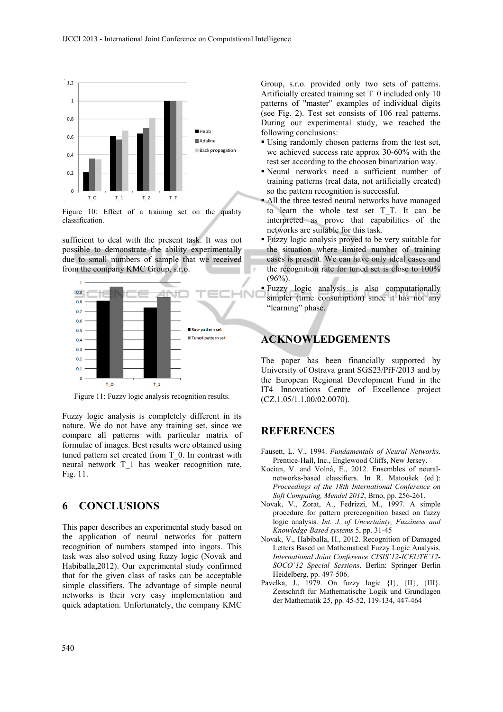

Figure 10: Effect of a training set on the quality classification.

sufficient to deal with the present task. It was not possible to demonstrate the ability experimentally due to small numbers of sample that we received from the company KMC Group, s.r.o.



Figure 11: Fuzzy logic analysis recognition results.

Fuzzy logic analysis is completely different in its nature. We do not have any training set, since we compare all patterns with particular matrix of formulae of images. Best results were obtained using tuned pattern set created from T\_0. In contrast with neural network T\_1 has weaker recognition rate, Fig. 11.

## **6 CONCLUSIONS**

This paper describes an experimental study based on the application of neural networks for pattern recognition of numbers stamped into ingots. This task was also solved using fuzzy logic (Novak and Habiballa,2012). Our experimental study confirmed that for the given class of tasks can be acceptable simple classifiers. The advantage of simple neural networks is their very easy implementation and quick adaptation. Unfortunately, the company KMC

Group, s.r.o. provided only two sets of patterns. Artificially created training set T\_0 included only 10 patterns of "master" examples of individual digits (see Fig. 2). Test set consists of 106 real patterns. During our experimental study, we reached the following conclusions:

- Using randomly chosen patterns from the test set, we achieved success rate approx 30-60% with the test set according to the choosen binarization way.
- Neural networks need a sufficient number of training patterns (real data, not artificially created) so the pattern recognition is successful.
- All the three tested neural networks have managed to learn the whole test set T\_T. It can be interpreted as prove that capabilities of the networks are suitable for this task.
- Fuzzy logic analysis proved to be very suitable for the situation where limited number of training cases is present. We can have only ideal cases and the recognition rate for tuned set is close to 100%  $(96\%)$ .
- Fuzzy logic analysis is also computationally simpler (time consumption) since it has not any "learning" phase.

## **ACKNOWLEDGEMENTS**

The paper has been financially supported by University of Ostrava grant SGS23/PřF/2013 and by the European Regional Development Fund in the IT4 Innovations Centre of Excellence project (CZ.1.05/1.1.00/02.0070).

### **REFERENCES**

- Fausett, L. V., 1994. *Fundamentals of Neural Networks*. Prentice-Hall, Inc., Englewood Cliffs, New Jersey.
- Kocian, V. and Volná, E., 2012. Ensembles of neuralnetworks-based classifiers. In R. Matoušek (ed.): *Proceedings of the 18th International Conference on Soft Computing, Mendel 2012*, Brno, pp. 256-261.
- Novak, V., Zorat, A., Fedrizzi, M., 1997. A simple procedure for pattern prerecognition based on fuzzy logic analysis. *Int. J. of Uncertainty, Fuzziness and Knowledge-Based systems* 5, pp. 31-45
- Novak, V., Habiballa, H., 2012. Recognition of Damaged Letters Based on Mathematical Fuzzy Logic Analysis. *International Joint Conference CISIS´12-ICEUTE´12- SOCO´12 Special Sessions*. Berlin: Springer Berlin Heidelberg, pp. 497-506.
- Pavelka, J., 1979. On fuzzy logic  $\{I\}$ ,  $\{II\}$ ,  $\{III\}$ . Zeitschrift fur Mathematische Logik und Grundlagen der Mathematik 25, pp. 45-52, 119-134, 447-464